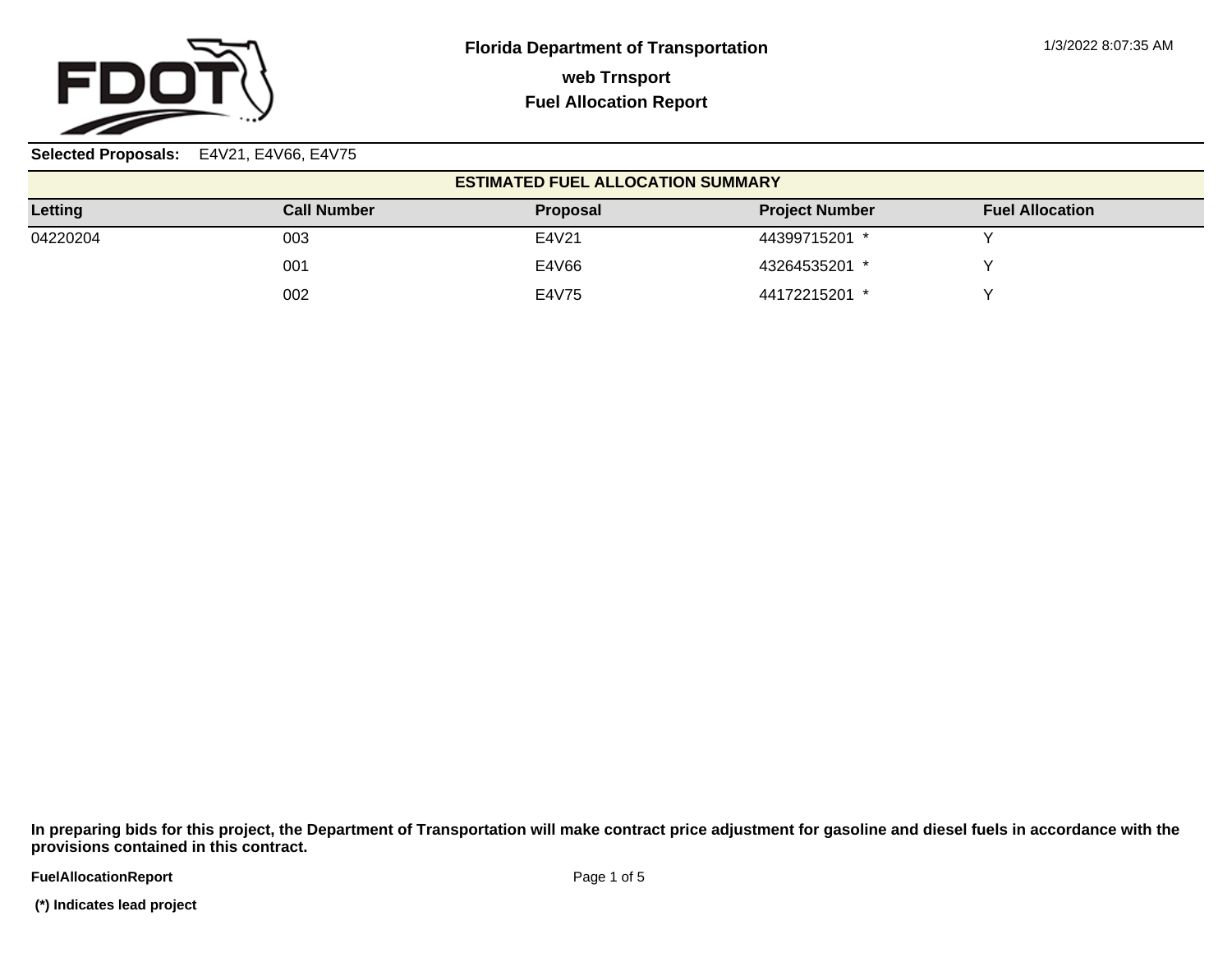

**Selected Proposals:** E4V21, E4V66, E4V75

| <b>ESTIMATED FUEL ALLOCATION SUMMARY</b> |                    |                 |                       |                        |  |  |  |  |
|------------------------------------------|--------------------|-----------------|-----------------------|------------------------|--|--|--|--|
| Letting                                  | <b>Call Number</b> | <b>Proposal</b> | <b>Project Number</b> | <b>Fuel Allocation</b> |  |  |  |  |
| 04220204                                 | 003                | E4V21           | 44399715201 *         |                        |  |  |  |  |
|                                          | 001                | E4V66           | 43264535201 *         |                        |  |  |  |  |
|                                          | 002                | E4V75           | 44172215201 *         |                        |  |  |  |  |

**In preparing bids for this project, the Department of Transportation will make contract price adjustment for gasoline and diesel fuels in accordance with the provisions contained in this contract.**

**FuelAllocationReport**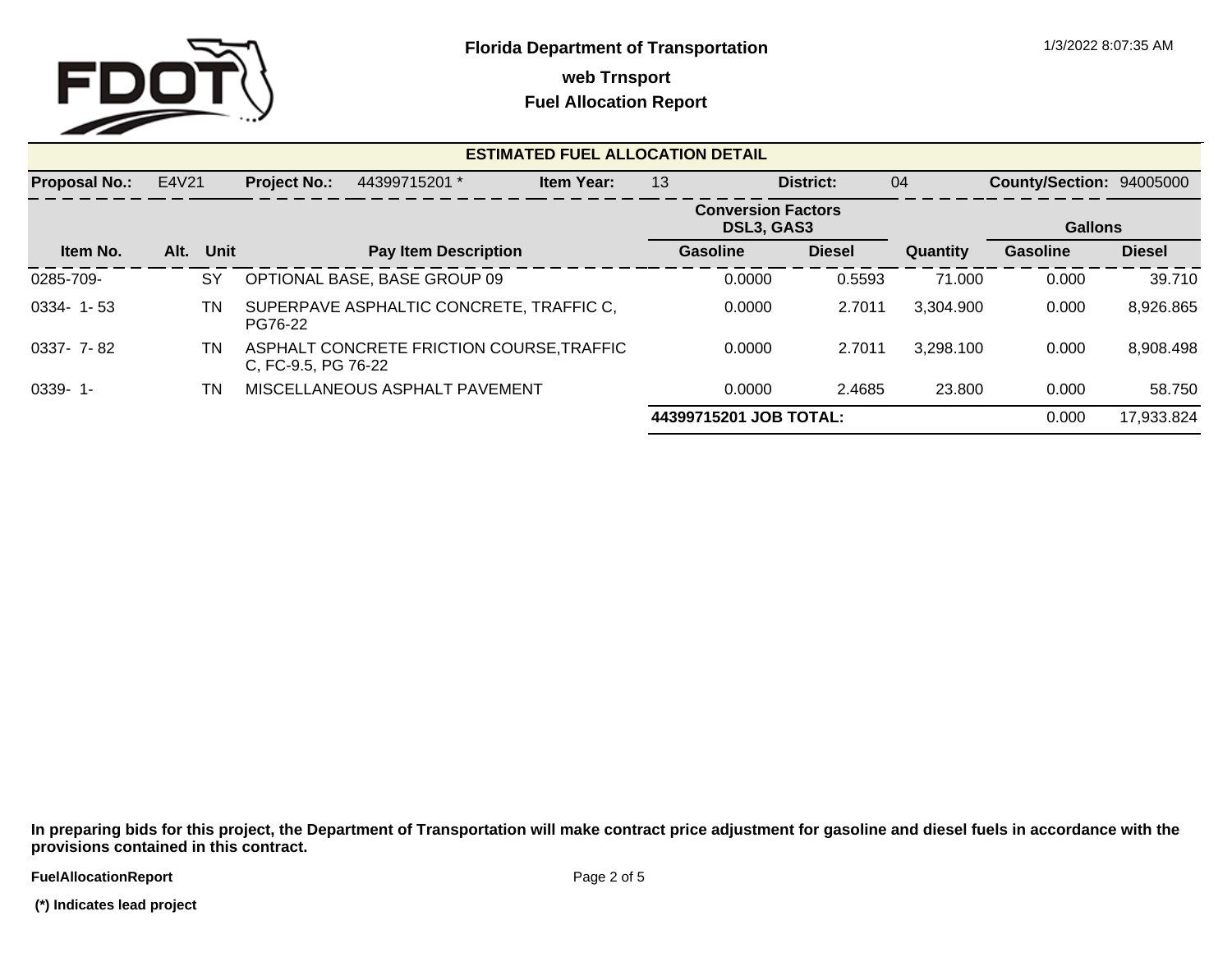

## **Fuel Allocation Report**

| <b>ESTIMATED FUEL ALLOCATION DETAIL</b> |       |      |                     |                                           |                   |                                         |                        |               |                          |                 |               |  |
|-----------------------------------------|-------|------|---------------------|-------------------------------------------|-------------------|-----------------------------------------|------------------------|---------------|--------------------------|-----------------|---------------|--|
| <b>Proposal No.:</b>                    | E4V21 |      | <b>Project No.:</b> | 44399715201 *                             | <b>Item Year:</b> | 13<br>District:                         |                        | 04            | County/Section: 94005000 |                 |               |  |
|                                         |       |      |                     |                                           |                   | <b>Conversion Factors</b><br>DSL3, GAS3 |                        |               |                          | <b>Gallons</b>  |               |  |
| Item No.                                | Alt.  | Unit |                     | <b>Pay Item Description</b>               |                   |                                         | Gasoline               | <b>Diesel</b> | Quantity                 | <b>Gasoline</b> | <b>Diesel</b> |  |
| 0285-709-                               |       | SY   |                     | OPTIONAL BASE, BASE GROUP 09              |                   |                                         | 0.0000                 | 0.5593        | 71.000                   | 0.000           | 39.710        |  |
| $0334 - 1 - 53$                         |       | TN   | PG76-22             | SUPERPAVE ASPHALTIC CONCRETE, TRAFFIC C.  |                   |                                         | 0.0000                 | 2.7011        | 3,304.900                | 0.000           | 8,926.865     |  |
| $0337 - 7 - 82$                         |       | ΤN   | C, FC-9.5, PG 76-22 | ASPHALT CONCRETE FRICTION COURSE, TRAFFIC |                   |                                         | 0.0000                 | 2.7011        | 3,298.100                | 0.000           | 8,908.498     |  |
| $0339 - 1$                              |       | ΤN   |                     | MISCELLANEOUS ASPHALT PAVEMENT            |                   |                                         | 0.0000                 | 2.4685        | 23.800                   | 0.000           | 58.750        |  |
|                                         |       |      |                     |                                           |                   |                                         | 44399715201 JOB TOTAL: | 0.000         | 17,933.824               |                 |               |  |

**In preparing bids for this project, the Department of Transportation will make contract price adjustment for gasoline and diesel fuels in accordance with the provisions contained in this contract.**

**FuelAllocationReport**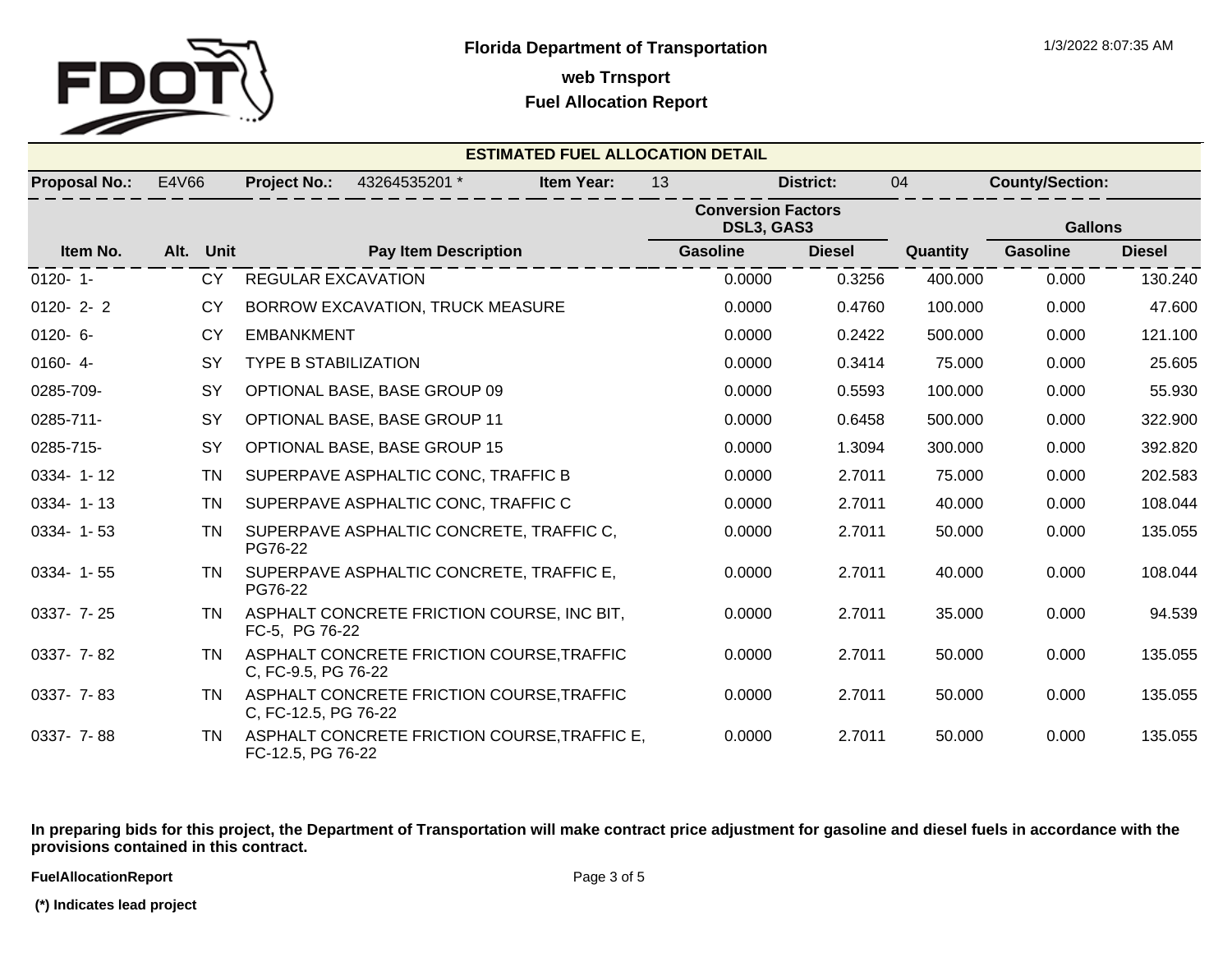

**Fuel Allocation Report**

| <b>ESTIMATED FUEL ALLOCATION DETAIL</b> |           |                             |                                              |                   |                 |                                         |          |                        |               |
|-----------------------------------------|-----------|-----------------------------|----------------------------------------------|-------------------|-----------------|-----------------------------------------|----------|------------------------|---------------|
| <b>Proposal No.:</b>                    | E4V66     | <b>Project No.:</b>         | 43264535201 *                                | <b>Item Year:</b> | 13              | <b>District:</b>                        | 04       | <b>County/Section:</b> |               |
|                                         |           |                             |                                              |                   |                 | <b>Conversion Factors</b><br>DSL3, GAS3 |          | <b>Gallons</b>         |               |
| Item No.                                | Alt. Unit |                             | <b>Pay Item Description</b>                  |                   | <b>Gasoline</b> | <b>Diesel</b>                           | Quantity | <b>Gasoline</b>        | <b>Diesel</b> |
| $0120 - 1$                              | CY        | <b>REGULAR EXCAVATION</b>   |                                              |                   | 0.0000          | 0.3256                                  | 400.000  | 0.000                  | 130.240       |
| $0120 - 2 - 2$                          | <b>CY</b> |                             | BORROW EXCAVATION, TRUCK MEASURE             |                   | 0.0000          | 0.4760                                  | 100.000  | 0.000                  | 47.600        |
| $0120 - 6 -$                            | CY        | <b>EMBANKMENT</b>           |                                              |                   | 0.0000          | 0.2422                                  | 500.000  | 0.000                  | 121.100       |
| $0160 - 4$                              | <b>SY</b> | <b>TYPE B STABILIZATION</b> |                                              |                   | 0.0000          | 0.3414                                  | 75.000   | 0.000                  | 25.605        |
| 0285-709-                               | SY        |                             | OPTIONAL BASE, BASE GROUP 09                 |                   | 0.0000          | 0.5593                                  | 100.000  | 0.000                  | 55.930        |
| 0285-711-                               | <b>SY</b> |                             | OPTIONAL BASE, BASE GROUP 11                 |                   | 0.0000          | 0.6458                                  | 500.000  | 0.000                  | 322.900       |
| 0285-715-                               | <b>SY</b> |                             | OPTIONAL BASE, BASE GROUP 15                 |                   | 0.0000          | 1.3094                                  | 300.000  | 0.000                  | 392.820       |
| 0334-1-12                               | TN        |                             | SUPERPAVE ASPHALTIC CONC, TRAFFIC B          |                   | 0.0000          | 2.7011                                  | 75.000   | 0.000                  | 202.583       |
| 0334-1-13                               | <b>TN</b> |                             | SUPERPAVE ASPHALTIC CONC, TRAFFIC C          |                   | 0.0000          | 2.7011                                  | 40.000   | 0.000                  | 108.044       |
| $0334 - 1 - 53$                         | <b>TN</b> | PG76-22                     | SUPERPAVE ASPHALTIC CONCRETE, TRAFFIC C,     |                   | 0.0000          | 2.7011                                  | 50.000   | 0.000                  | 135.055       |
| $0334 - 1 - 55$                         | TN        | PG76-22                     | SUPERPAVE ASPHALTIC CONCRETE, TRAFFIC E,     |                   | 0.0000          | 2.7011                                  | 40.000   | 0.000                  | 108.044       |
| 0337- 7-25                              | TN        | FC-5, PG 76-22              | ASPHALT CONCRETE FRICTION COURSE, INC BIT,   |                   | 0.0000          | 2.7011                                  | 35.000   | 0.000                  | 94.539        |
| $0337 - 7 - 82$                         | <b>TN</b> | C, FC-9.5, PG 76-22         | ASPHALT CONCRETE FRICTION COURSE, TRAFFIC    |                   | 0.0000          | 2.7011                                  | 50.000   | 0.000                  | 135.055       |
| 0337- 7-83                              | TN        | C, FC-12.5, PG 76-22        | ASPHALT CONCRETE FRICTION COURSE, TRAFFIC    |                   | 0.0000          | 2.7011                                  | 50.000   | 0.000                  | 135.055       |
| $0337 - 7 - 88$                         | TN.       | FC-12.5, PG 76-22           | ASPHALT CONCRETE FRICTION COURSE, TRAFFIC E, |                   | 0.0000          | 2.7011                                  | 50.000   | 0.000                  | 135.055       |

**In preparing bids for this project, the Department of Transportation will make contract price adjustment for gasoline and diesel fuels in accordance with the provisions contained in this contract.**

**FuelAllocationReport** 

 **(\*) Indicates lead project**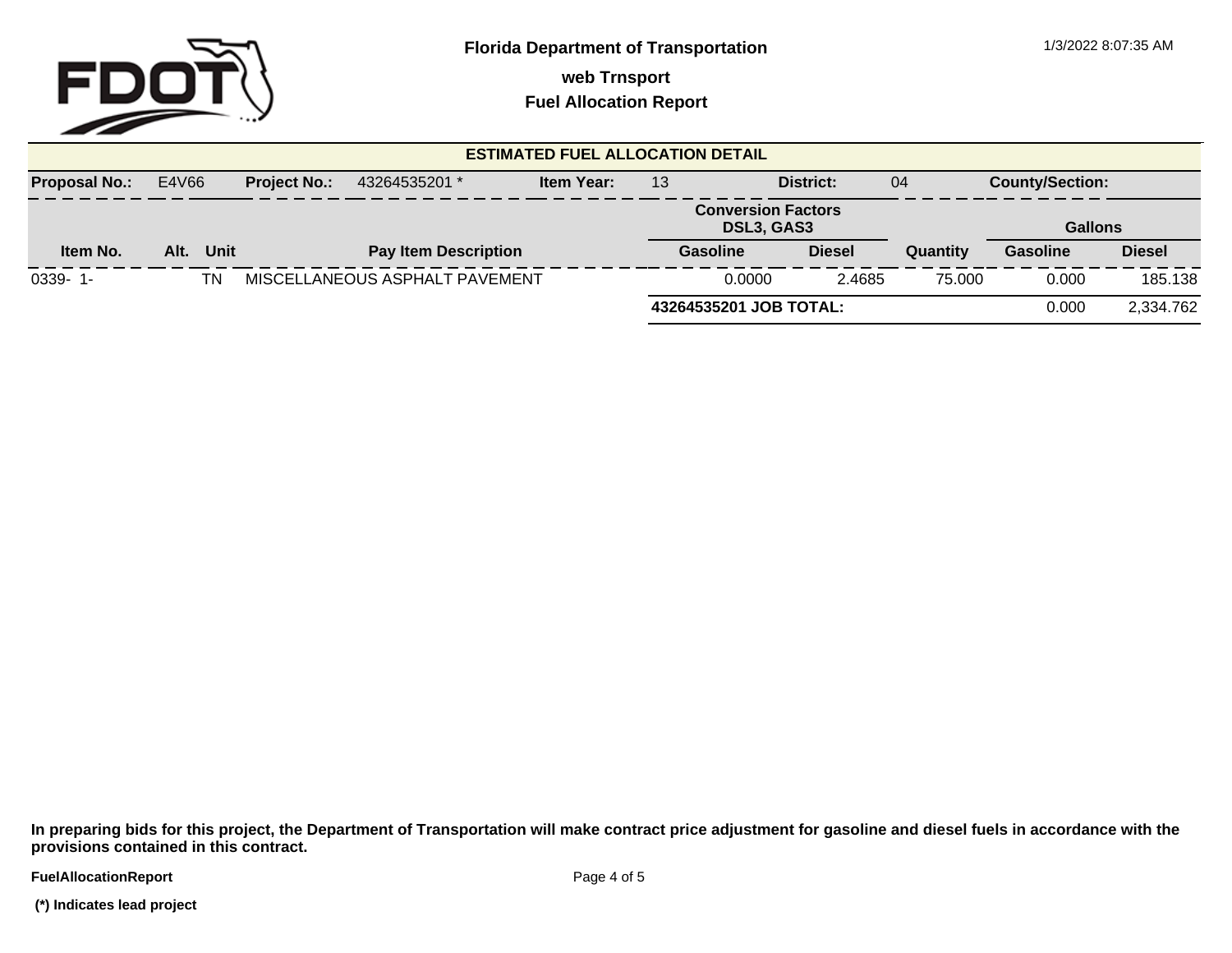

**Fuel Allocation Report**

| <b>ESTIMATED FUEL ALLOCATION DETAIL</b> |       |      |                     |                                |                        |                                         |                  |           |                        |               |
|-----------------------------------------|-------|------|---------------------|--------------------------------|------------------------|-----------------------------------------|------------------|-----------|------------------------|---------------|
| <b>Proposal No.:</b>                    | E4V66 |      | <b>Project No.:</b> | 43264535201 *                  | Item Year:             | District:<br>13                         |                  | 04        | <b>County/Section:</b> |               |
|                                         |       |      |                     |                                |                        | <b>Conversion Factors</b><br>DSL3, GAS3 |                  |           | <b>Gallons</b>         |               |
| Item No.                                | Alt.  | Unit |                     | <b>Pay Item Description</b>    |                        | Gasoline                                | <b>Diesel</b>    | Quantity  | <b>Gasoline</b>        | <b>Diesel</b> |
| $0339 - 1$ -                            |       | ΤN   |                     | MISCELLANEOUS ASPHALT PAVEMENT |                        |                                         | 0.0000<br>2.4685 | 75.000    | 0.000                  | 185.138       |
|                                         |       |      |                     |                                | 43264535201 JOB TOTAL: |                                         | 0.000            | 2,334.762 |                        |               |

**In preparing bids for this project, the Department of Transportation will make contract price adjustment for gasoline and diesel fuels in accordance with the provisions contained in this contract.**

**FuelAllocationReport** 

 **(\*) Indicates lead project**